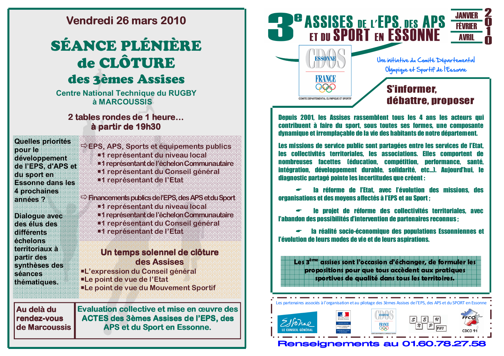## Vendredi 26 mars 2010

# SÉANCE PLÉNIÈRE de CLÔTURE des 3èmes Assises

**Centre National Technique du RUGBY** à MARCOUSSIS

## 2 tables rondes de 1 heure... à partir de 19h30

| <b>Quelles priorités</b><br>oour le<br>développement<br>de l'EPS, d'APS et<br>du sporten<br><b>Essonne dans les</b> | $\rightarrow$ EPS, APS, Sports et equipements publics.<br>■1 representant du niveau local<br>"1 représentant de l'échelon Communautaire<br>■1 representant du Conseil général<br>■1 representant de l'Etat |
|---------------------------------------------------------------------------------------------------------------------|------------------------------------------------------------------------------------------------------------------------------------------------------------------------------------------------------------|
| 4 prochaines                                                                                                        | $\Rightarrow$ Financements publics de l'EPS, des APS et du Sport                                                                                                                                           |
| annees ?                                                                                                            | ■1 représentant du niveau local                                                                                                                                                                            |
| <b>Dialogue avec</b><br>des élus des<br>difiérents<br>echelons                                                      | ■1 représentant de l'échelon Communautaire<br>■1 representant du Conseil general<br>■1 representant de l'Etat                                                                                              |
| <b>temfonaux a</b>                                                                                                  | Un temps solennel de clôture                                                                                                                                                                               |
| partir des                                                                                                          | des Assises                                                                                                                                                                                                |
| synthèses des                                                                                                       | ■L'expression du Conseil général                                                                                                                                                                           |
| seances                                                                                                             | ■Le point de vue de l'Etat                                                                                                                                                                                 |
| thématiques.                                                                                                        | ■Le point de vue du Mouvement Sportif                                                                                                                                                                      |
| Au delà du                                                                                                          | <b>Evaluation collective et mise en œuvre des</b>                                                                                                                                                          |
| rendez-vous                                                                                                         | ACTES des 3èmes Assises de l'EPS, des                                                                                                                                                                      |
| de Marcoussis                                                                                                       | APS et du Sport en Essonne.                                                                                                                                                                                |



**Denuis 2001. les Assises rassemblent tous les 4 ans les acteurs qui** contribuent à faire du sport, sous toutes ses formes, une composante dynamique et irremplacable de la vie des habitants de notre département.

Les missions de service public sont partagées entre les services de l'Etat. les collectivités territoriales. les associations. Elles comportent de nombreuses facettes (éducation, compétition, performance, santé, intégration, développement durable, solidarité, etc...), Aujourd'hui, le diagnostic partagé pointe les incertitudes que créent :

la réforme de l'Etat. avec l'évolution des missions, des **organisations et des movens affectés à l'EPS et au Snort :** 

le projet de réforme des collectivités territoriales, avec l'abandon des possibilités d'intervention de partenaires reconnus :

la réalité socio-économique des populations Essonniennes et l'évolution de leurs modes de vie et de leurs aspirations.

Les 3<sup>ème</sup> assises sont l'occasion d'échanger, de formuler les propositions pour que tous accèdent aux pratiques sportives de qualité dans tous les territoires.



Renseignements au 01.60.78.27.58